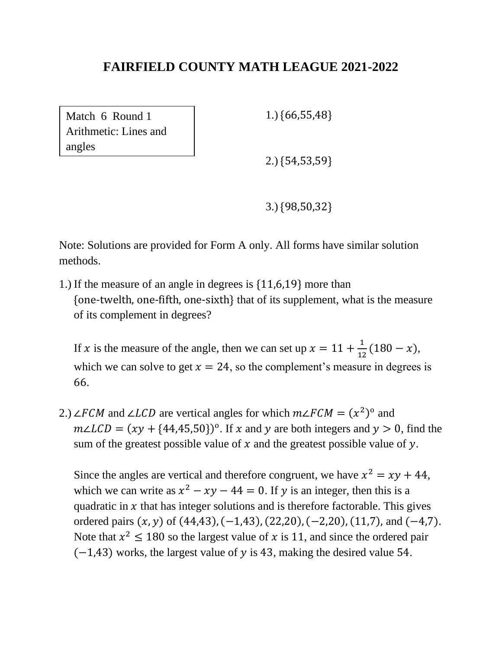Match 6 Round 1 Arithmetic: Lines and angles

1.) {66,55,48}

2.) {54,53,59}

3.) {98,50,32}

Note: Solutions are provided for Form A only. All forms have similar solution methods.

1.) If the measure of an angle in degrees is {11,6,19} more than {one-twelth, one-fifth, one-sixth} that of its supplement, what is the measure of its complement in degrees?

If x is the measure of the angle, then we can set up  $x = 11 + \frac{1}{x}$  $\frac{1}{12}(180-x),$ which we can solve to get  $x = 24$ , so the complement's measure in degrees is 66.

2.) ∠FCM and ∠LCD are vertical angles for which  $m\angle FCM = (x^2)^0$  and  $m\angle LCD = (xy + {44,45,50})^{\circ}$ . If x and y are both integers and  $y > 0$ , find the sum of the greatest possible value of  $x$  and the greatest possible value of  $y$ .

Since the angles are vertical and therefore congruent, we have  $x^2 = xy + 44$ , which we can write as  $x^2 - xy - 44 = 0$ . If y is an integer, then this is a quadratic in  $x$  that has integer solutions and is therefore factorable. This gives ordered pairs  $(x, y)$  of  $(44, 43)$ ,  $(-1, 43)$ ,  $(22, 20)$ ,  $(-2, 20)$ ,  $(11, 7)$ , and  $(-4, 7)$ . Note that  $x^2 \le 180$  so the largest value of x is 11, and since the ordered pair  $(-1, 43)$  works, the largest value of y is 43, making the desired value 54.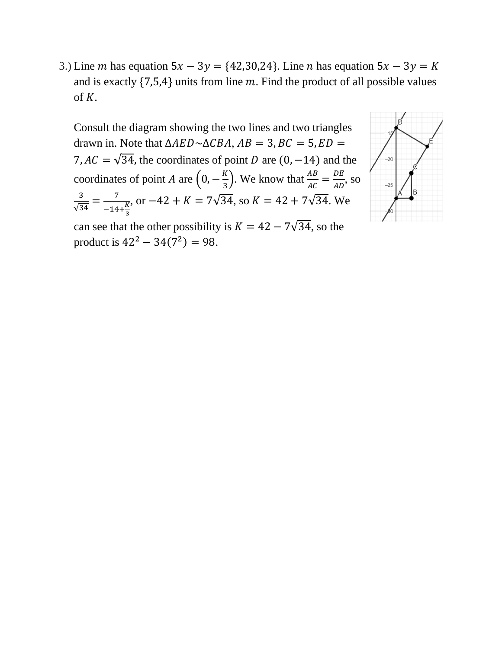3.) Line *m* has equation  $5x - 3y = \{42, 30, 24\}$ . Line *n* has equation  $5x - 3y = K$ and is exactly  $\{7,5,4\}$  units from line m. Find the product of all possible values of  $K$ .

Consult the diagram showing the two lines and two triangles drawn in. Note that  $\triangle AED \sim \triangle CBA$ ,  $AB = 3$ ,  $BC = 5$ ,  $ED =$ 7,  $AC = \sqrt{34}$ , the coordinates of point D are (0, -14) and the coordinates of point *A* are  $\left(0, -\frac{K}{2}\right)$  $\left(\frac{K}{3}\right)$ . We know that  $\frac{AB}{AC} = \frac{DE}{AD}$  $\frac{DE}{AD}$ , so 3  $\frac{3}{\sqrt{34}} = \frac{7}{-14}$  $-14+\frac{K}{3}$ 3 , or  $-42 + K = 7\sqrt{34}$ , so  $K = 42 + 7\sqrt{34}$ . We



can see that the other possibility is  $K = 42 - 7\sqrt{34}$ , so the product is  $42^2 - 34(7^2) = 98$ .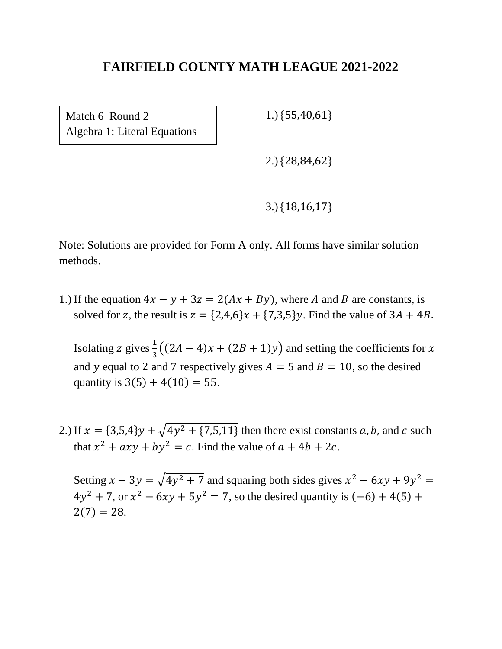Match 6 Round 2 Algebra 1: Literal Equations 1.) {55,40,61}

2.) {28,84,62}

3.) {18,16,17}

Note: Solutions are provided for Form A only. All forms have similar solution methods.

1.) If the equation  $4x - y + 3z = 2(Ax + By)$ , where A and B are constants, is solved for z, the result is  $z = \{2,4,6\}x + \{7,3,5\}y$ . Find the value of  $3A + 4B$ .

Isolating z gives  $\frac{1}{3}((2A-4)x+(2B+1)y)$  and setting the coefficients for x and y equal to 2 and 7 respectively gives  $A = 5$  and  $B = 10$ , so the desired quantity is  $3(5) + 4(10) = 55$ .

2.) If  $x = \{3,5,4\}y + \sqrt{4y^2 + \{7,5,11\}}$  then there exist constants a, b, and c such that  $x^2 + axy + by^2 = c$ . Find the value of  $a + 4b + 2c$ .

Setting  $x - 3y = \sqrt{4y^2 + 7}$  and squaring both sides gives  $x^2 - 6xy + 9y^2 = 0$  $4y^2 + 7$ , or  $x^2 - 6xy + 5y^2 = 7$ , so the desired quantity is  $(-6) + 4(5) +$  $2(7) = 28.$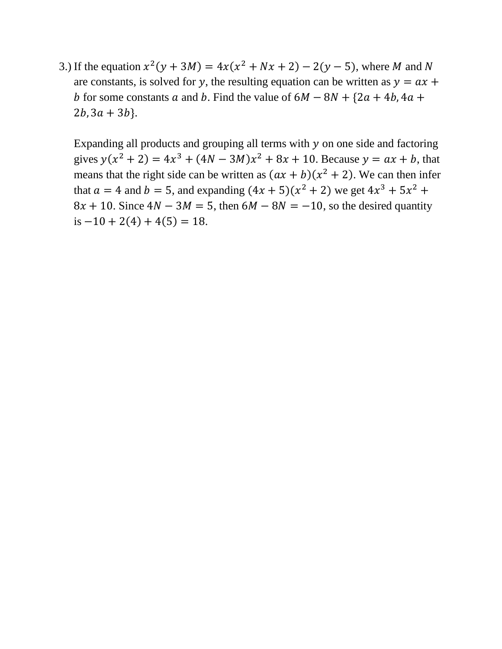3.) If the equation  $x^2(y + 3M) = 4x(x^2 + Nx + 2) - 2(y - 5)$ , where M and N are constants, is solved for y, the resulting equation can be written as  $y = ax +$ b for some constants a and b. Find the value of  $6M - 8N + {2a + 4b, 4a + }$  $2b$ ,  $3a + 3b$ .

Expanding all products and grouping all terms with  $y$  on one side and factoring gives  $y(x^2 + 2) = 4x^3 + (4N - 3M)x^2 + 8x + 10$ . Because  $y = ax + b$ , that means that the right side can be written as  $(ax + b)(x^2 + 2)$ . We can then infer that  $a = 4$  and  $b = 5$ , and expanding  $(4x + 5)(x^2 + 2)$  we get  $4x^3 + 5x^2 +$  $8x + 10$ . Since  $4N - 3M = 5$ , then  $6M - 8N = -10$ , so the desired quantity is  $-10 + 2(4) + 4(5) = 18$ .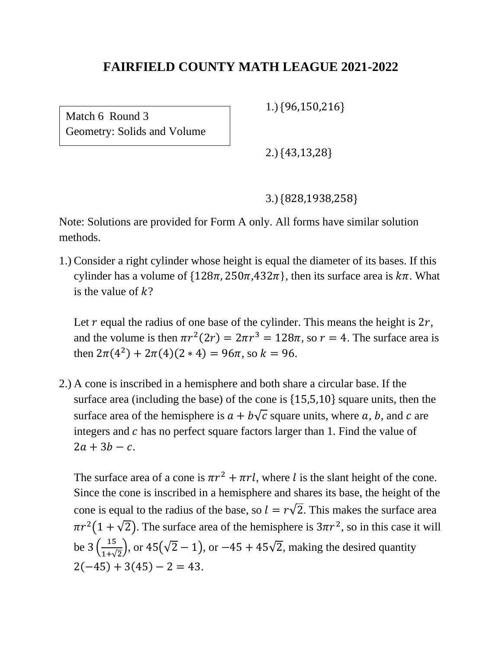Match 6 Round 3 Geometry: Solids and Volume 1.) {96,150,216}

2.) {43,13,28}

3.) {828,1938,258}

Note: Solutions are provided for Form A only. All forms have similar solution methods.

1.) Consider a right cylinder whose height is equal the diameter of its bases. If this cylinder has a volume of  $\{128\pi, 250\pi, 432\pi\}$ , then its surface area is  $k\pi$ . What is the value of  $k$ ?

Let  $r$  equal the radius of one base of the cylinder. This means the height is  $2r$ , and the volume is then  $\pi r^2(2r) = 2\pi r^3 = 128\pi$ , so  $r = 4$ . The surface area is then  $2\pi(4^2) + 2\pi(4)(2 * 4) = 96\pi$ , so  $k = 96$ .

2.) A cone is inscribed in a hemisphere and both share a circular base. If the surface area (including the base) of the cone is {15,5,10} square units, then the surface area of the hemisphere is  $a + b\sqrt{c}$  square units, where a, b, and c are integers and  $c$  has no perfect square factors larger than 1. Find the value of  $2a + 3b - c$ .

The surface area of a cone is  $\pi r^2 + \pi r l$ , where l is the slant height of the cone. Since the cone is inscribed in a hemisphere and shares its base, the height of the cone is equal to the radius of the base, so  $l = r\sqrt{2}$ . This makes the surface area  $\pi r^2(1+\sqrt{2})$ . The surface area of the hemisphere is  $3\pi r^2$ , so in this case it will be  $3\left(\frac{15}{11}\right)$  $\frac{15}{1+\sqrt{2}}$ , or 45( $\sqrt{2} - 1$ ), or  $-45 + 45\sqrt{2}$ , making the desired quantity  $2(-45) + 3(45) - 2 = 43.$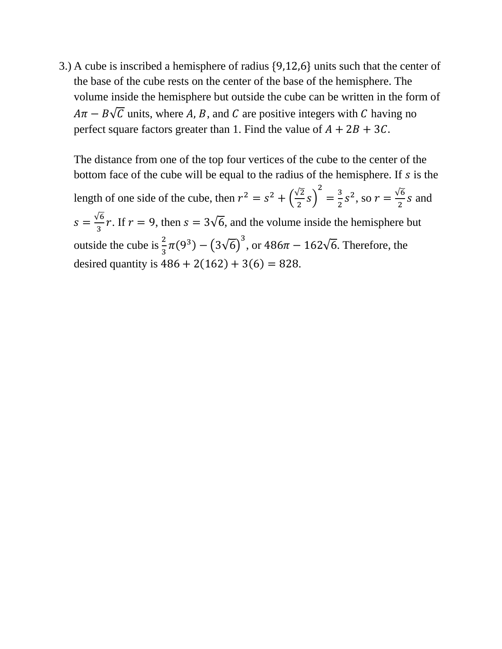3.) A cube is inscribed a hemisphere of radius {9,12,6} units such that the center of the base of the cube rests on the center of the base of the hemisphere. The volume inside the hemisphere but outside the cube can be written in the form of  $A\pi - B\sqrt{C}$  units, where A, B, and C are positive integers with C having no perfect square factors greater than 1. Find the value of  $A + 2B + 3C$ .

The distance from one of the top four vertices of the cube to the center of the bottom face of the cube will be equal to the radius of the hemisphere. If  $s$  is the length of one side of the cube, then  $r^2 = s^2 + \left(\frac{\sqrt{2}}{3}\right)^2$  $\frac{12}{2}$  S) 2  $=\frac{3}{2}$  $\frac{3}{2} s^2$ , so  $r = \frac{\sqrt{6}}{2}$  $\frac{1}{2}$  s and  $s = \frac{\sqrt{6}}{2}$  $\frac{\pi}{3}$  r. If  $r = 9$ , then  $s = 3\sqrt{6}$ , and the volume inside the hemisphere but outside the cube is  $\frac{2}{3}\pi(9^3) - (3\sqrt{6})^3$ , or  $486\pi - 162\sqrt{6}$ . Therefore, the desired quantity is  $486 + 2(162) + 3(6) = 828$ .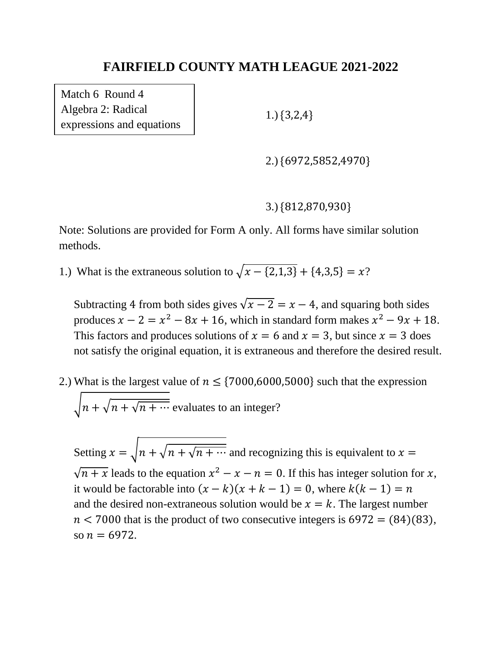Match 6 Round 4 Algebra 2: Radical expressions and equations

1.) {3,2,4}

2.) {6972,5852,4970}

### 3.) {812,870,930}

Note: Solutions are provided for Form A only. All forms have similar solution methods.

1.) What is the extraneous solution to  $\sqrt{x - \{2, 1, 3\}} + \{4, 3, 5\} = x$ ?

Subtracting 4 from both sides gives  $\sqrt{x-2} = x - 4$ , and squaring both sides produces  $x - 2 = x^2 - 8x + 16$ , which in standard form makes  $x^2 - 9x + 18$ . This factors and produces solutions of  $x = 6$  and  $x = 3$ , but since  $x = 3$  does not satisfy the original equation, it is extraneous and therefore the desired result.

2.) What is the largest value of  $n \leq \{7000,6000,5000\}$  such that the expression  $\sqrt{n + \sqrt{n + \cdots}}$  evaluates to an integer?

Setting  $x = \sqrt{n + \sqrt{n + \cdots}}$  and recognizing this is equivalent to  $x =$  $\sqrt{n+x}$  leads to the equation  $x^2 - x - n = 0$ . If this has integer solution for x, it would be factorable into  $(x - k)(x + k - 1) = 0$ , where  $k(k - 1) = n$ and the desired non-extraneous solution would be  $x = k$ . The largest number  $n < 7000$  that is the product of two consecutive integers is 6972 = (84)(83), so  $n = 6972$ .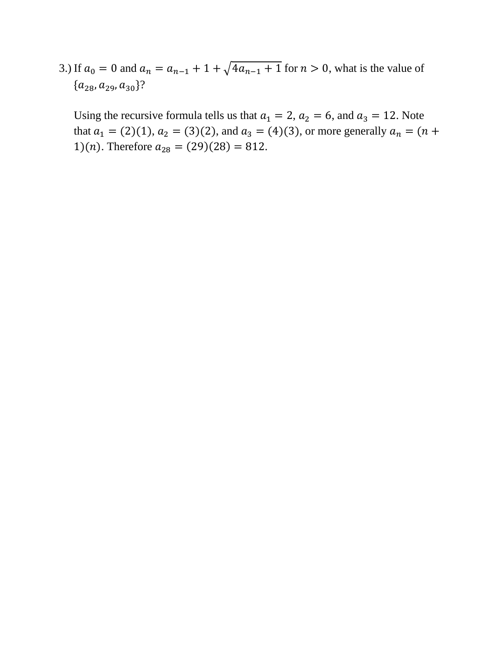3.) If  $a_0 = 0$  and  $a_n = a_{n-1} + 1 + \sqrt{4a_{n-1} + 1}$  for  $n > 0$ , what is the value of  ${a_{28}, a_{29}, a_{30}}?$ 

Using the recursive formula tells us that  $a_1 = 2$ ,  $a_2 = 6$ , and  $a_3 = 12$ . Note that  $a_1 = (2)(1)$ ,  $a_2 = (3)(2)$ , and  $a_3 = (4)(3)$ , or more generally  $a_n = (n +$ 1)(*n*). Therefore  $a_{28} = (29)(28) = 812$ .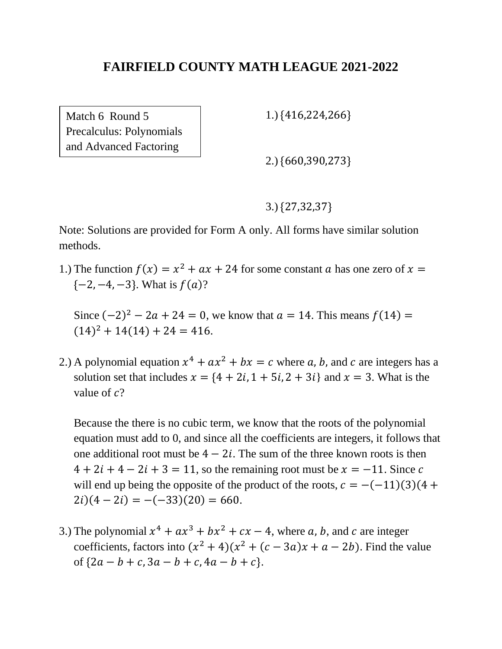Match 6 Round 5 Precalculus: Polynomials and Advanced Factoring

1.) {416,224,266}

2.) {660,390,273}

3.) {27,32,37}

Note: Solutions are provided for Form A only. All forms have similar solution methods.

1.) The function  $f(x) = x^2 + ax + 24$  for some constant a has one zero of  $x =$  $\{-2, -4, -3\}$ . What is  $f(a)$ ?

Since  $(-2)^2 - 2a + 24 = 0$ , we know that  $a = 14$ . This means  $f(14) =$  $(14)^{2} + 14(14) + 24 = 416.$ 

2.) A polynomial equation  $x^4 + ax^2 + bx = c$  where a, b, and c are integers has a solution set that includes  $x = \{4 + 2i, 1 + 5i, 2 + 3i\}$  and  $x = 3$ . What is the value of  $c$ ?

Because the there is no cubic term, we know that the roots of the polynomial equation must add to 0, and since all the coefficients are integers, it follows that one additional root must be  $4 - 2i$ . The sum of the three known roots is then  $4 + 2i + 4 - 2i + 3 = 11$ , so the remaining root must be  $x = -11$ . Since c will end up being the opposite of the product of the roots,  $c = -(-11)(3)(4 +$  $2i(4-2i) = -(-33)(20) = 660.$ 

3.) The polynomial  $x^4 + ax^3 + bx^2 + cx - 4$ , where a, b, and c are integer coefficients, factors into  $(x^2 + 4)(x^2 + (c - 3a)x + a - 2b)$ . Find the value of  ${2a - b + c, 3a - b + c, 4a - b + c}.$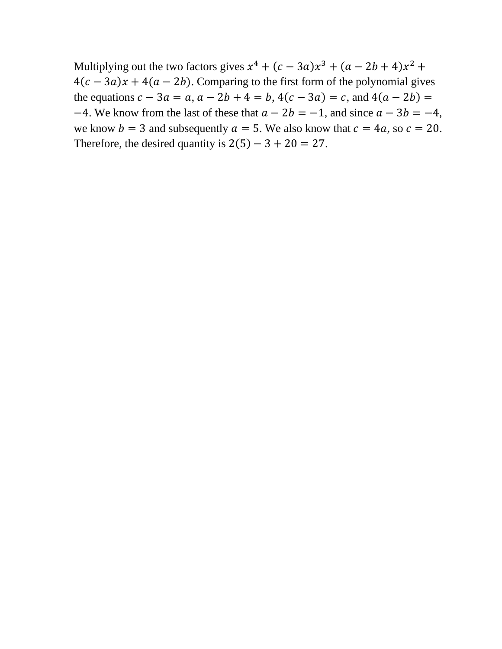Multiplying out the two factors gives  $x^4 + (c - 3a)x^3 + (a - 2b + 4)x^2 +$  $4(c - 3a)x + 4(a - 2b)$ . Comparing to the first form of the polynomial gives the equations  $c - 3a = a$ ,  $a - 2b + 4 = b$ ,  $4(c - 3a) = c$ , and  $4(a - 2b) =$  $-4$ . We know from the last of these that  $a - 2b = -1$ , and since  $a - 3b = -4$ , we know  $b = 3$  and subsequently  $a = 5$ . We also know that  $c = 4a$ , so  $c = 20$ . Therefore, the desired quantity is  $2(5) - 3 + 20 = 27$ .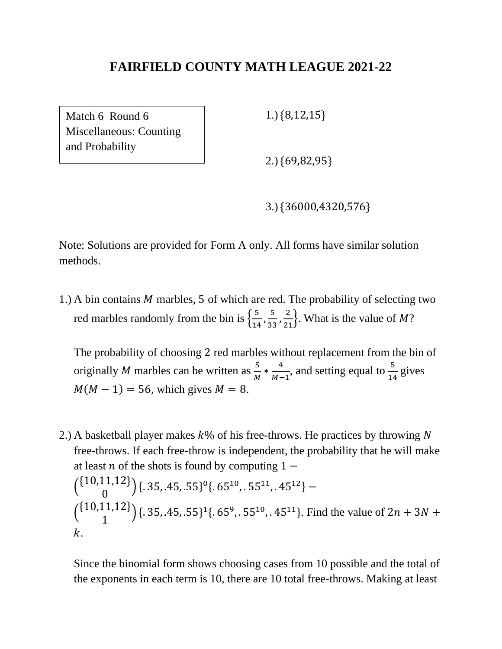Match 6 Round 6 Miscellaneous: Counting and Probability

1.) {8,12,15}

2.) {69,82,95}

3.) {36000,4320,576}

Note: Solutions are provided for Form A only. All forms have similar solution methods.

1.) A bin contains  $M$  marbles, 5 of which are red. The probability of selecting two red marbles randomly from the bin is  $\left\{\frac{5}{10}\right\}$  $\frac{5}{14}$ ,  $\frac{5}{33}$  $\frac{5}{33}, \frac{2}{21}$ . What is the value of *M*?

The probability of choosing 2 red marbles without replacement from the bin of originally *M* marbles can be written as  $\frac{5}{M} * \frac{4}{M-1}$  $\frac{4}{M-1}$ , and setting equal to  $\frac{5}{14}$  gives  $M(M - 1) = 56$ , which gives  $M = 8$ .

2.) A basketball player makes  $k\%$  of his free-throws. He practices by throwing N free-throws. If each free-throw is independent, the probability that he will make at least *n* of the shots is found by computing  $1 \binom{\{10,11,12\}}{2}$ 0  $({.}35, .45, .55)^0({.}65^{10}, .55^{11}, .45^{12})$  –  $\binom{\{10,11,12\}}{1}$ 1  $\left( \frac{1}{6} \cdot 35, .45, .55 \right)$ <sup>1</sup>{ $\left( .65^9, .55^{10}, .45^{11} \right)$ . Find the value of  $2n + 3N + 3N$  $k_{-}$ 

Since the binomial form shows choosing cases from 10 possible and the total of the exponents in each term is 10, there are 10 total free-throws. Making at least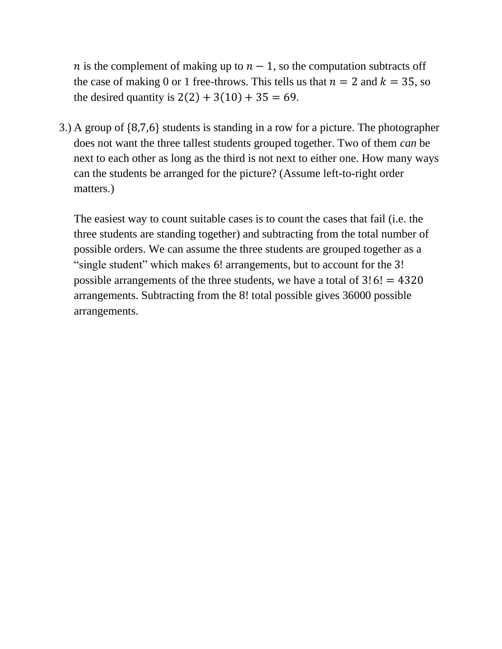*n* is the complement of making up to  $n - 1$ , so the computation subtracts off the case of making 0 or 1 free-throws. This tells us that  $n = 2$  and  $k = 35$ , so the desired quantity is  $2(2) + 3(10) + 35 = 69$ .

3.) A group of {8,7,6} students is standing in a row for a picture. The photographer does not want the three tallest students grouped together. Two of them *can* be next to each other as long as the third is not next to either one. How many ways can the students be arranged for the picture? (Assume left-to-right order matters.)

The easiest way to count suitable cases is to count the cases that fail (i.e. the three students are standing together) and subtracting from the total number of possible orders. We can assume the three students are grouped together as a "single student" which makes 6! arrangements, but to account for the 3! possible arrangements of the three students, we have a total of  $3!6! = 4320$ arrangements. Subtracting from the 8! total possible gives 36000 possible arrangements.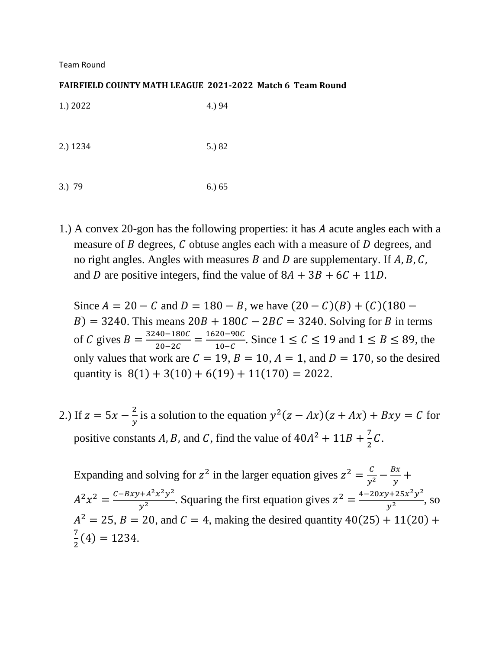Team Round

#### **FAIRFIELD COUNTY MATH LEAGUE 2021-2022 Match 6 Team Round**

| $1.$ ) 2022 | 4.) 94 |
|-------------|--------|
| 2.) 1234    | 5.) 82 |
| $3.)$ 79    | 6.) 65 |

1.) A convex 20-gon has the following properties: it has A acute angles each with a measure of  $B$  degrees,  $C$  obtuse angles each with a measure of  $D$  degrees, and no right angles. Angles with measures B and D are supplementary. If  $A, B, C$ , and D are positive integers, find the value of  $8A + 3B + 6C + 11D$ .

Since  $A = 20 - C$  and  $D = 180 - B$ , we have  $(20 - C)(B) + (C)(180 - C)$  $B$ ) = 3240. This means 20B + 180C – 2BC = 3240. Solving for B in terms of C gives  $B = \frac{3240 - 180C}{30 - 36C}$  $\frac{40-180C}{20-2C} = \frac{1620-90C}{10-C}$  $\frac{20-90C}{10-C}$ . Since 1 ≤ C ≤ 19 and 1 ≤ B ≤ 89, the only values that work are  $C = 19$ ,  $B = 10$ ,  $A = 1$ , and  $D = 170$ , so the desired quantity is  $8(1) + 3(10) + 6(19) + 11(170) = 2022$ .

2.) If  $z = 5x - \frac{2}{x}$  $\frac{2}{y}$  is a solution to the equation  $y^2(z - Ax)(z + Ax) + Bxy = C$  for positive constants A, B, and C, find the value of  $40A^2 + 11B + \frac{7}{2}$  $rac{7}{2}C$ .

Expanding and solving for  $z^2$  in the larger equation gives  $z^2 = \frac{c}{y^2} - \frac{Bx}{y}$  $\frac{3x}{y}$  +  $A^2 x^2 = \frac{C - Bxy + A^2 x^2 y^2}{x^2}$  $\frac{x^2 + A^2 x^2 y^2}{y^2}$ . Squaring the first equation gives  $z^2 = \frac{4 - 20xy + 25x^2 y^2}{y^2}$  $\frac{y+25x}{y^2}$ , so  $A^{2} = 25$ ,  $B = 20$ , and  $C = 4$ , making the desired quantity  $40(25) + 11(20) +$ 7  $\frac{1}{2}(4) = 1234.$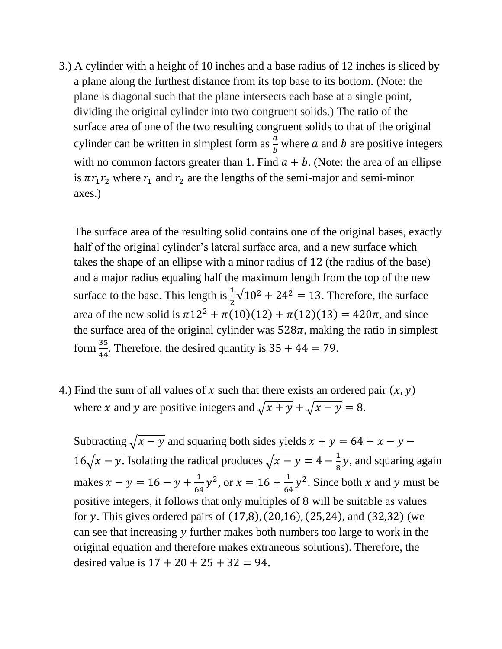3.) A cylinder with a height of 10 inches and a base radius of 12 inches is sliced by a plane along the furthest distance from its top base to its bottom. (Note: the plane is diagonal such that the plane intersects each base at a single point, dividing the original cylinder into two congruent solids.) The ratio of the surface area of one of the two resulting congruent solids to that of the original cylinder can be written in simplest form as  $\frac{a}{b}$  where a and b are positive integers with no common factors greater than 1. Find  $a + b$ . (Note: the area of an ellipse is  $\pi r_1 r_2$  where  $r_1$  and  $r_2$  are the lengths of the semi-major and semi-minor axes.)

The surface area of the resulting solid contains one of the original bases, exactly half of the original cylinder's lateral surface area, and a new surface which takes the shape of an ellipse with a minor radius of 12 (the radius of the base) and a major radius equaling half the maximum length from the top of the new surface to the base. This length is  $\frac{1}{2}\sqrt{10^2 + 24^2} = 13$ . Therefore, the surface area of the new solid is  $\pi 12^2 + \pi (10)(12) + \pi (12)(13) = 420\pi$ , and since the surface area of the original cylinder was  $528\pi$ , making the ratio in simplest form  $\frac{35}{44}$ . Therefore, the desired quantity is  $35 + 44 = 79$ .

4.) Find the sum of all values of x such that there exists an ordered pair  $(x, y)$ where x and y are positive integers and  $\sqrt{x + y} + \sqrt{x - y} = 8$ .

Subtracting  $\sqrt{x-y}$  and squaring both sides yields  $x + y = 64 + x - y 16\sqrt{x-y}$ . Isolating the radical produces  $\sqrt{x-y} = 4 - \frac{1}{8}$  $\frac{1}{8}y$ , and squaring again makes  $x - y = 16 - y + \frac{1}{6}$  $\frac{1}{64}y^2$ , or  $x = 16 + \frac{1}{64}$  $\frac{1}{64}y^2$ . Since both x and y must be positive integers, it follows that only multiples of 8 will be suitable as values for y. This gives ordered pairs of  $(17,8)$ ,  $(20,16)$ ,  $(25,24)$ , and  $(32,32)$  (we can see that increasing  $\nu$  further makes both numbers too large to work in the original equation and therefore makes extraneous solutions). Therefore, the desired value is  $17 + 20 + 25 + 32 = 94$ .